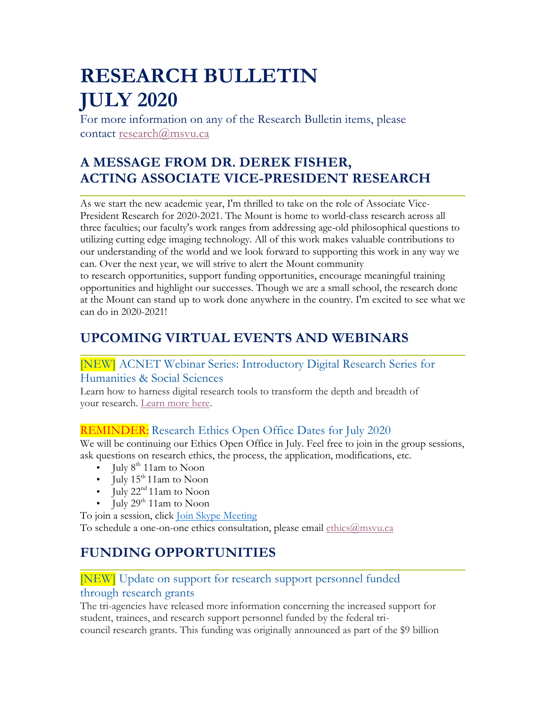# **RESEARCH BULLETIN JULY 2020**

For more information on any of the Research Bulletin items, please contact research@msvu.ca

# **A MESSAGE FROM DR. DEREK FISHER, ACTING ASSOCIATE VICE-PRESIDENT RESEARCH**

As we start the new academic year, I'm thrilled to take on the role of Associate Vice-President Research for 2020-2021. The Mount is home to world-class research across all three faculties; our faculty's work ranges from addressing age-old philosophical questions to utilizing cutting edge imaging technology. All of this work makes valuable contributions to our understanding of the world and we look forward to supporting this work in any way we can. Over the next year, we will strive to alert the Mount community

to research opportunities, support funding opportunities, encourage meaningful training opportunities and highlight our successes. Though we are a small school, the research done at the Mount can stand up to work done anywhere in the country. I'm excited to see what we can do in 2020-2021!

# **UPCOMING VIRTUAL EVENTS AND WEBINARS**

[NEW] ACNET Webinar Series: Introductory Digital Research Series for

### Humanities & Social Sciences

Learn how to harness digital research tools to transform the depth and breadth of your research. Learn more here.

# REMINDER: Research Ethics Open Office Dates for July 2020

We will be continuing our Ethics Open Office in July. Feel free to join in the group sessions, ask questions on research ethics, the process, the application, modifications, etc.

- July  $8<sup>th</sup> 11$ am to Noon
- July  $15<sup>th</sup>11$ am to Noon
- July  $22<sup>nd</sup> 11$ am to Noon
- July  $29<sup>th</sup> 11$ am to Noon

To join a session, click Join Skype Meeting To schedule a one-on-one ethics consultation, please email ethics@msvu.ca

# **FUNDING OPPORTUNITIES**

# [NEW] Update on support for research support personnel funded through research grants

The tri-agencies have released more information concerning the increased support for student, trainees, and research support personnel funded by the federal tricouncil research grants. This funding was originally announced as part of the \$9 billion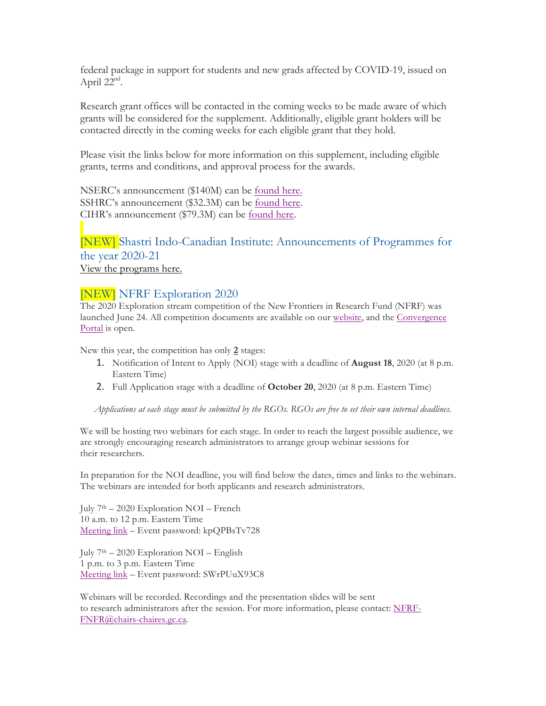federal package in support for students and new grads affected by COVID-19, issued on April 22<sup>nd</sup>.

Research grant offices will be contacted in the coming weeks to be made aware of which grants will be considered for the supplement. Additionally, eligible grant holders will be contacted directly in the coming weeks for each eligible grant that they hold.

Please visit the links below for more information on this supplement, including eligible grants, terms and conditions, and approval process for the awards.

NSERC's announcement (\$140M) can be found here. SSHRC's announcement (\$32.3M) can be found here. CIHR's announcement (\$79.3M) can be found here.

### [NEW] Shastri Indo-Canadian Institute: Announcements of Programmes for the year 2020-21 View the programs here.

#### [NEW] NFRF Exploration 2020

The 2020 Exploration stream competition of the New Frontiers in Research Fund (NFRF) was launched June 24. All competition documents are available on our website, and the Convergence Portal is open.

New this year, the competition has only **2** stages:

- 1. Notification of Intent to Apply (NOI) stage with a deadline of **August 18**, 2020 (at 8 p.m. Eastern Time)
- 2. Full Application stage with a deadline of **October 20**, 2020 (at 8 p.m. Eastern Time)

Applications at each stage must be submitted by the RGOs. RGOs are free to set their own internal deadlines.

We will be hosting two webinars for each stage. In order to reach the largest possible audience, we are strongly encouraging research administrators to arrange group webinar sessions for their researchers.

In preparation for the NOI deadline, you will find below the dates, times and links to the webinars. The webinars are intended for both applicants and research administrators.

July  $7<sup>th</sup> - 2020$  Exploration NOI – French 10 a.m. to 12 p.m. Eastern Time Meeting link – Event password: kpQPBsTv728

July  $7<sup>th</sup> - 2020$  Exploration NOI – English 1 p.m. to 3 p.m. Eastern Time Meeting link – Event password: SWrPUuX93C8

Webinars will be recorded. Recordings and the presentation slides will be sent to research administrators after the session. For more information, please contact: NFRF-FNFR@chairs-chaires.gc.ca.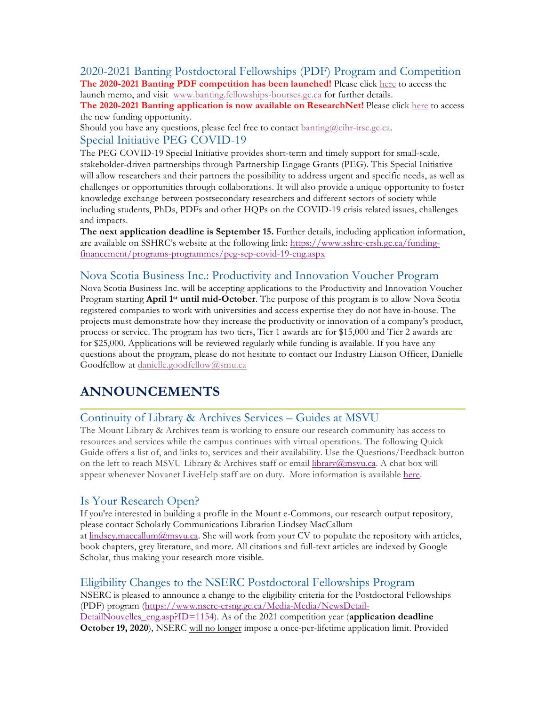# 2020-2021 Banting Postdoctoral Fellowships (PDF) Program and Competition

**The 2020-2021 Banting PDF competition has been launched!** Please click here to access the launch memo, and visit www.banting.fellowships-bourses.gc.ca for further details.

**The 2020-2021 Banting application is now available on ResearchNet!** Please click here to access the new funding opportunity.

Should you have any questions, please feel free to contact **banting@cihr-irsc.gc.ca**. Special Initiative PEG COVID-19

The PEG COVID-19 Special Initiative provides short-term and timely support for small-scale, stakeholder-driven partnerships through Partnership Engage Grants (PEG). This Special Initiative will allow researchers and their partners the possibility to address urgent and specific needs, as well as challenges or opportunities through collaborations. It will also provide a unique opportunity to foster knowledge exchange between postsecondary researchers and different sectors of society while including students, PhDs, PDFs and other HQPs on the COVID-19 crisis related issues, challenges and impacts.

**The next application deadline is September 15.** Further details, including application information, are available on SSHRC's website at the following link: https://www.sshrc-crsh.gc.ca/fundingfinancement/programs-programmes/peg-sep-covid-19-eng.aspx

#### Nova Scotia Business Inc.: Productivity and Innovation Voucher Program

Nova Scotia Business Inc. will be accepting applications to the Productivity and Innovation Voucher Program starting **April 1st until mid-October**. The purpose of this program is to allow Nova Scotia registered companies to work with universities and access expertise they do not have in-house. The projects must demonstrate how they increase the productivity or innovation of a company's product, process or service. The program has two tiers, Tier 1 awards are for \$15,000 and Tier 2 awards are for \$25,000. Applications will be reviewed regularly while funding is available. If you have any questions about the program, please do not hesitate to contact our Industry Liaison Officer, Danielle Goodfellow at danielle.goodfellow@smu.ca

# **ANNOUNCEMENTS**

#### Continuity of Library & Archives Services – Guides at MSVU

The Mount Library & Archives team is working to ensure our research community has access to resources and services while the campus continues with virtual operations. The following Quick Guide offers a list of, and links to, services and their availability. Use the Questions/Feedback button on the left to reach MSVU Library & Archives staff or email library@msvu.ca. A chat box will appear whenever Novanet LiveHelp staff are on duty. More information is available here.

#### Is Your Research Open?

If you're interested in building a profile in the Mount e-Commons, our research output repository, please contact Scholarly Communications Librarian Lindsey MacCallum at lindsey.maccallum@msvu.ca. She will work from your CV to populate the repository with articles, book chapters, grey literature, and more. All citations and full-text articles are indexed by Google Scholar, thus making your research more visible.

#### Eligibility Changes to the NSERC Postdoctoral Fellowships Program

NSERC is pleased to announce a change to the eligibility criteria for the Postdoctoral Fellowships (PDF) program (https://www.nserc-crsng.gc.ca/Media-Media/NewsDetail-DetailNouvelles\_eng.asp?ID=1154). As of the 2021 competition year (**application deadline October 19, 2020**), NSERC will no longer impose a once-per-lifetime application limit. Provided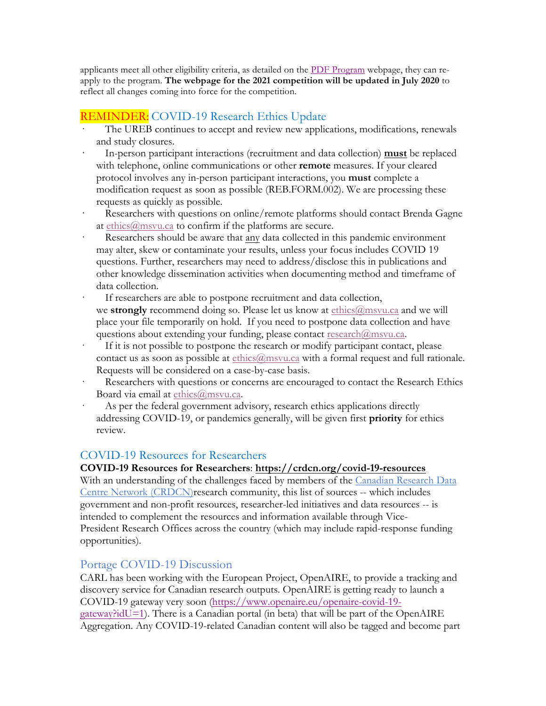applicants meet all other eligibility criteria, as detailed on the PDF Program webpage, they can reapply to the program. **The webpage for the 2021 competition will be updated in July 2020** to reflect all changes coming into force for the competition.

### REMINDER: COVID-19 Research Ethics Update

- · The UREB continues to accept and review new applications, modifications, renewals and study closures.
- · In-person participant interactions (recruitment and data collection) **must** be replaced with telephone, online communications or other **remote** measures. If your cleared protocol involves any in-person participant interactions, you **must** complete a modification request as soon as possible (REB.FORM.002). We are processing these requests as quickly as possible.
- Researchers with questions on online/remote platforms should contact Brenda Gagne at ethics@msvu.ca to confirm if the platforms are secure.
- Researchers should be aware that any data collected in this pandemic environment may alter, skew or contaminate your results, unless your focus includes COVID 19 questions. Further, researchers may need to address/disclose this in publications and other knowledge dissemination activities when documenting method and timeframe of data collection.
- If researchers are able to postpone recruitment and data collection, we **strongly** recommend doing so. Please let us know at ethics@msvu.ca and we will place your file temporarily on hold. If you need to postpone data collection and have questions about extending your funding, please contact research@msvu.ca.
- If it is not possible to postpone the research or modify participant contact, please contact us as soon as possible at ethics@msvu.ca with a formal request and full rationale. Requests will be considered on a case-by-case basis.
- Researchers with questions or concerns are encouraged to contact the Research Ethics Board via email at ethics@msvu.ca.
- As per the federal government advisory, research ethics applications directly addressing COVID-19, or pandemics generally, will be given first **priority** for ethics review.

#### COVID-19 Resources for Researchers

#### **COVID-19 Resources for Researchers**: **https://crdcn.org/covid-19-resources**

With an understanding of the challenges faced by members of the Canadian Research Data Centre Network (CRDCN)research community, this list of sources -- which includes government and non-profit resources, researcher-led initiatives and data resources -- is intended to complement the resources and information available through Vice-President Research Offices across the country (which may include rapid-response funding opportunities).

#### Portage COVID-19 Discussion

CARL has been working with the European Project, OpenAIRE, to provide a tracking and discovery service for Canadian research outputs. OpenAIRE is getting ready to launch a COVID-19 gateway very soon (https://www.openaire.eu/openaire-covid-19  $g$ ateway?idU=1). There is a Canadian portal (in beta) that will be part of the OpenAIRE Aggregation. Any COVID-19-related Canadian content will also be tagged and become part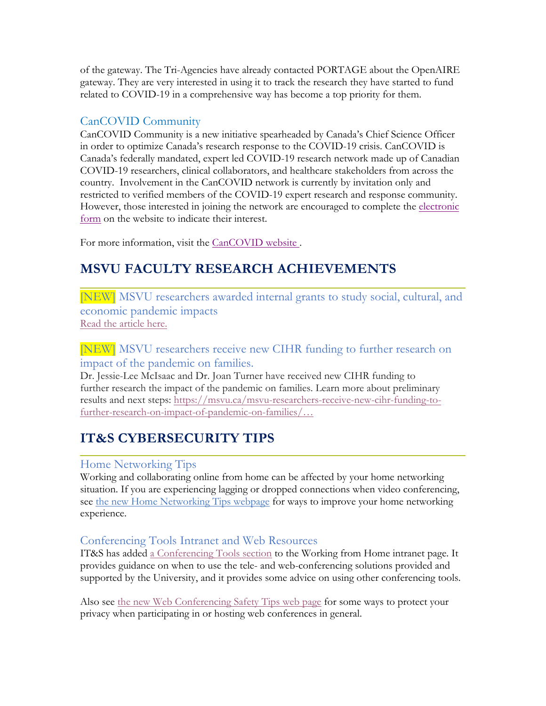of the gateway. The Tri-Agencies have already contacted PORTAGE about the OpenAIRE gateway. They are very interested in using it to track the research they have started to fund related to COVID-19 in a comprehensive way has become a top priority for them.

### CanCOVID Community

CanCOVID Community is a new initiative spearheaded by Canada's Chief Science Officer in order to optimize Canada's research response to the COVID-19 crisis. CanCOVID is Canada's federally mandated, expert led COVID-19 research network made up of Canadian COVID-19 researchers, clinical collaborators, and healthcare stakeholders from across the country. Involvement in the CanCOVID network is currently by invitation only and restricted to verified members of the COVID-19 expert research and response community. However, those interested in joining the network are encouraged to complete the electronic form on the website to indicate their interest.

For more information, visit the CanCOVID website .

# **MSVU FACULTY RESEARCH ACHIEVEMENTS**

[NEW] MSVU researchers awarded internal grants to study social, cultural, and economic pandemic impacts Read the article here.

### [NEW] MSVU researchers receive new CIHR funding to further research on impact of the pandemic on families.

Dr. Jessie-Lee McIsaac and Dr. Joan Turner have received new CIHR funding to further research the impact of the pandemic on families. Learn more about preliminary results and next steps: https://msvu.ca/msvu-researchers-receive-new-cihr-funding-tofurther-research-on-impact-of-pandemic-on-families/…

# **IT&S CYBERSECURITY TIPS**

### Home Networking Tips

Working and collaborating online from home can be affected by your home networking situation. If you are experiencing lagging or dropped connections when video conferencing, see the new Home Networking Tips webpage for ways to improve your home networking experience.

# Conferencing Tools Intranet and Web Resources

IT&S has added a Conferencing Tools section to the Working from Home intranet page. It provides guidance on when to use the tele- and web-conferencing solutions provided and supported by the University, and it provides some advice on using other conferencing tools.

Also see the new Web Conferencing Safety Tips web page for some ways to protect your privacy when participating in or hosting web conferences in general.